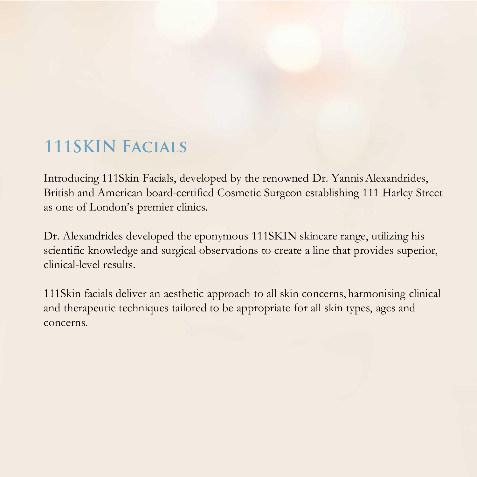# **111SKIN FACIALS**

Introducing 111Skin Facials, developed by the renowned Dr. Yannis Alexandrides, British and American board-certified Cosmetic Surgeon establishing 111 Harley Street as one of London's premier clinics.

Dr. Alexandrides developed the eponymous 111SKIN skincare range, utilizing his scientific knowledge and surgical observations to create a line that provides superior, clinical-level results.

111Skin facials deliver an aesthetic approach to all skin concerns, harmonising clinical and therapeutic techniques tailored to be appropriate for all skin types, ages and concerns.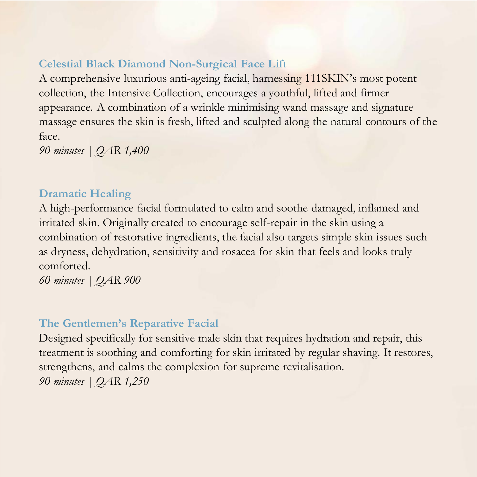## **Celestial Black Diamond Non-Surgical Face Lift**

A comprehensive luxurious anti-ageing facial, harnessing 111SKIN's most potent collection, the Intensive Collection, encourages a youthful, lifted and firmer appearance. A combination of a wrinkle minimising wand massage and signature massage ensures the skin is fresh, lifted and sculpted along the natural contours of the face.

*90 minutes | QAR 1,400* 

### **Dramatic Healing**

A high-performance facial formulated to calm and soothe damaged, inflamed and irritated skin. Originally created to encourage self-repair in the skin using a combination of restorative ingredients, the facial also targets simple skin issues such as dryness, dehydration, sensitivity and rosacea for skin that feels and looks truly comforted.

*60 minutes | QAR 900* 

#### **The Gentlemen's Reparative Facial**

Designed specifically for sensitive male skin that requires hydration and repair, this treatment is soothing and comforting for skin irritated by regular shaving. It restores, strengthens, and calms the complexion for supreme revitalisation. *90 minutes | QAR 1,250*